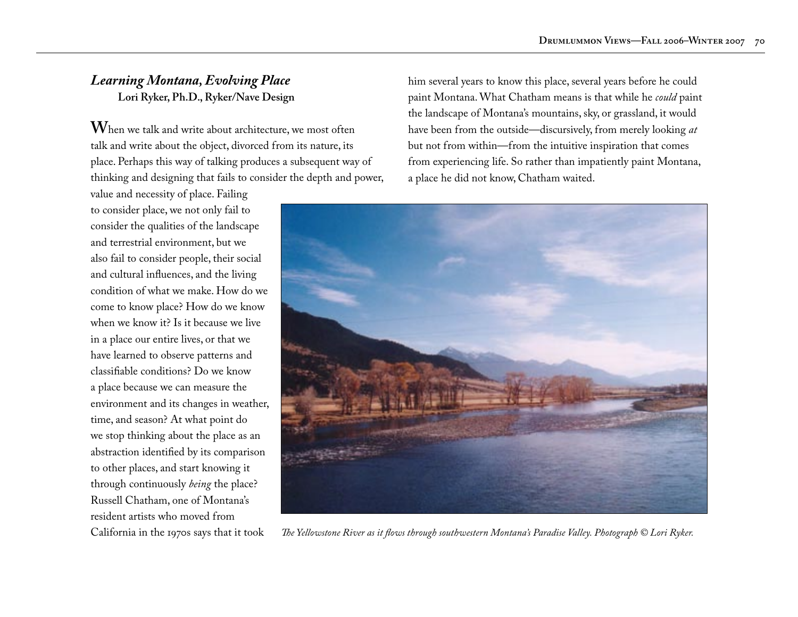## *Learning Montana, Evolving Place* **Lori Ryker, Ph.D., Ryker/Nave Design**

**W**hen we talk and write about architecture, we most often talk and write about the object, divorced from its nature, its place. Perhaps this way of talking produces a subsequent way of thinking and designing that fails to consider the depth and power,

value and necessity of place. Failing to consider place, we not only fail to consider the qualities of the landscape and terrestrial environment, but we also fail to consider people, their social and cultural influences, and the living condition of what we make. How do we come to know place? How do we know when we know it? Is it because we live in a place our entire lives, or that we have learned to observe patterns and classifiable conditions? Do we know a place because we can measure the environment and its changes in weather, time, and season? At what point do we stop thinking about the place as an abstraction identified by its comparison to other places, and start knowing it through continuously *being* the place? Russell Chatham, one of Montana's resident artists who moved from California in the 1970s says that it took

him several years to know this place, several years before he could paint Montana. What Chatham means is that while he *could* paint the landscape of Montana's mountains, sky, or grassland, it would have been from the outside—discursively, from merely looking *at* but not from within—from the intuitive inspiration that comes from experiencing life. So rather than impatiently paint Montana, a place he did not know, Chatham waited.



*The Yellowstone River as it flows through southwestern Montana's Paradise Valley. Photograph © Lori Ryker.*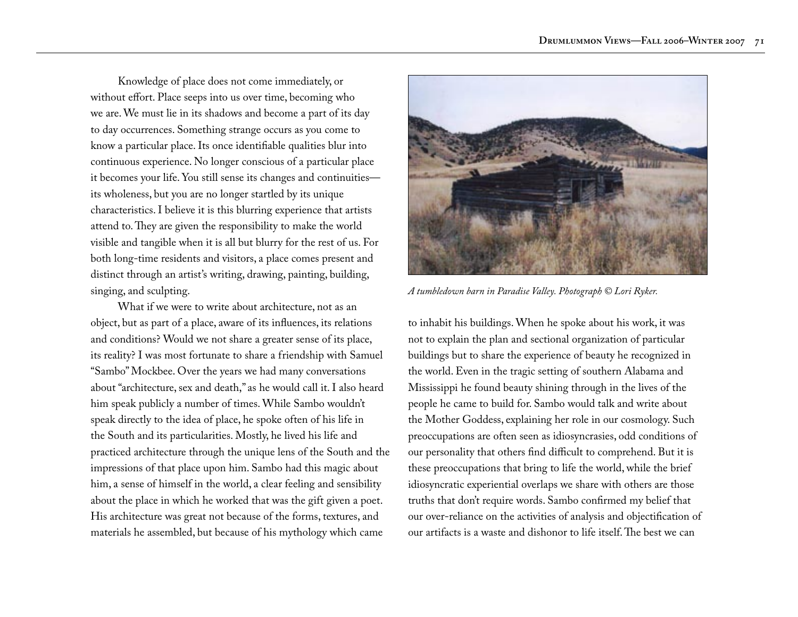Knowledge of place does not come immediately, or without effort. Place seeps into us over time, becoming who we are. We must lie in its shadows and become a part of its day to day occurrences. Something strange occurs as you come to know a particular place. Its once identifiable qualities blur into continuous experience. No longer conscious of a particular place it becomes your life. You still sense its changes and continuities its wholeness, but you are no longer startled by its unique characteristics. I believe it is this blurring experience that artists attend to. They are given the responsibility to make the world visible and tangible when it is all but blurry for the rest of us. For both long-time residents and visitors, a place comes present and distinct through an artist's writing, drawing, painting, building, singing, and sculpting.

What if we were to write about architecture, not as an object, but as part of a place, aware of its influences, its relations and conditions? Would we not share a greater sense of its place, its reality? I was most fortunate to share a friendship with Samuel "Sambo" Mockbee. Over the years we had many conversations about "architecture, sex and death," as he would call it. I also heard him speak publicly a number of times. While Sambo wouldn't speak directly to the idea of place, he spoke often of his life in the South and its particularities. Mostly, he lived his life and practiced architecture through the unique lens of the South and the impressions of that place upon him. Sambo had this magic about him, a sense of himself in the world, a clear feeling and sensibility about the place in which he worked that was the gift given a poet. His architecture was great not because of the forms, textures, and materials he assembled, but because of his mythology which came



*A tumbledown barn in Paradise Valley. Photograph © Lori Ryker.*

to inhabit his buildings. When he spoke about his work, it was not to explain the plan and sectional organization of particular buildings but to share the experience of beauty he recognized in the world. Even in the tragic setting of southern Alabama and Mississippi he found beauty shining through in the lives of the people he came to build for. Sambo would talk and write about the Mother Goddess, explaining her role in our cosmology. Such preoccupations are often seen as idiosyncrasies, odd conditions of our personality that others find difficult to comprehend. But it is these preoccupations that bring to life the world, while the brief idiosyncratic experiential overlaps we share with others are those truths that don't require words. Sambo confirmed my belief that our over-reliance on the activities of analysis and objectification of our artifacts is a waste and dishonor to life itself. The best we can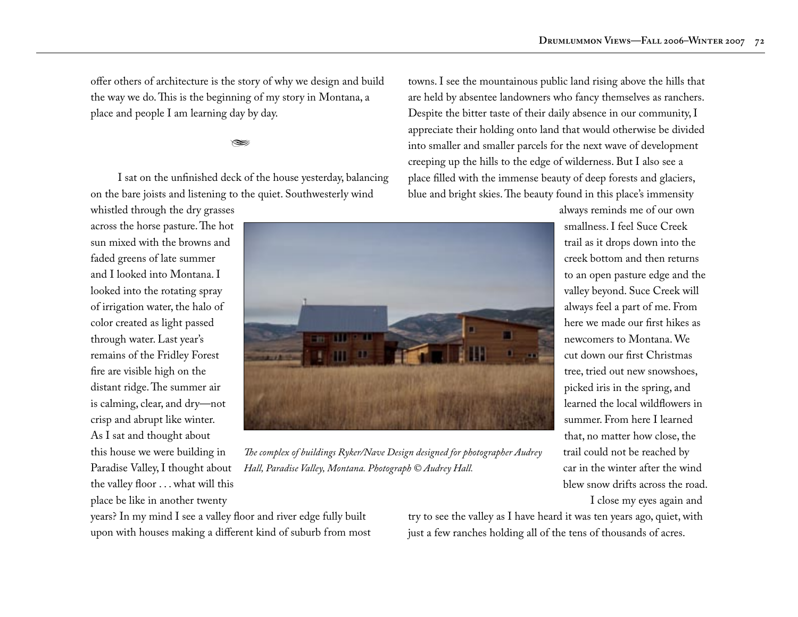offer others of architecture is the story of why we design and build the way we do. This is the beginning of my story in Montana, a place and people I am learning day by day.

## $\approx$

I sat on the unfinished deck of the house yesterday, balancing on the bare joists and listening to the quiet. Southwesterly wind

whistled through the dry grasses across the horse pasture. The hot sun mixed with the browns and faded greens of late summer and I looked into Montana. I looked into the rotating spray of irrigation water, the halo of color created as light passed through water. Last year's remains of the Fridley Forest fire are visible high on the distant ridge. The summer air is calming, clear, and dry—not crisp and abrupt like winter. As I sat and thought about this house we were building in Paradise Valley, I thought about the valley floor . . . what will this place be like in another twenty

*The complex of buildings Ryker/Nave Design designed for photographer Audrey Hall, Paradise Valley, Montana. Photograph © Audrey Hall.*

towns. I see the mountainous public land rising above the hills that are held by absentee landowners who fancy themselves as ranchers. Despite the bitter taste of their daily absence in our community, I appreciate their holding onto land that would otherwise be divided into smaller and smaller parcels for the next wave of development creeping up the hills to the edge of wilderness. But I also see a place filled with the immense beauty of deep forests and glaciers, blue and bright skies. The beauty found in this place's immensity

I close my eyes again and

years? In my mind I see a valley floor and river edge fully built upon with houses making a different kind of suburb from most try to see the valley as I have heard it was ten years ago, quiet, with just a few ranches holding all of the tens of thousands of acres.

trail as it drops down into the creek bottom and then returns to an open pasture edge and the valley beyond. Suce Creek will always feel a part of me. From here we made our first hikes as newcomers to Montana. We cut down our first Christmas tree, tried out new snowshoes, picked iris in the spring, and learned the local wildflowers in summer. From here I learned that, no matter how close, the trail could not be reached by car in the winter after the wind blew snow drifts across the road.

always reminds me of our own smallness. I feel Suce Creek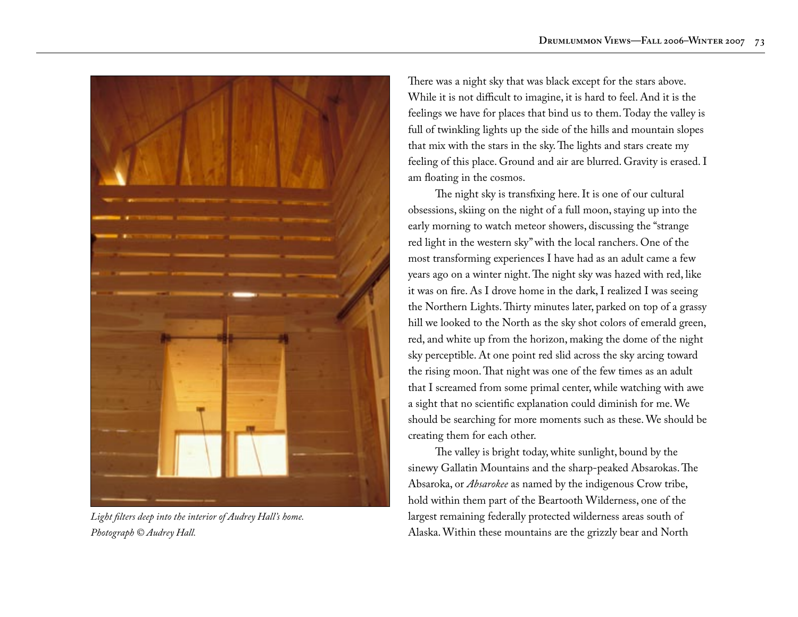

*Light filters deep into the interior of Audrey Hall's home. Photograph © Audrey Hall.*

There was a night sky that was black except for the stars above. While it is not difficult to imagine, it is hard to feel. And it is the feelings we have for places that bind us to them. Today the valley is full of twinkling lights up the side of the hills and mountain slopes that mix with the stars in the sky. The lights and stars create my feeling of this place. Ground and air are blurred. Gravity is erased. I am floating in the cosmos.

The night sky is transfixing here. It is one of our cultural obsessions, skiing on the night of a full moon, staying up into the early morning to watch meteor showers, discussing the "strange red light in the western sky" with the local ranchers. One of the most transforming experiences I have had as an adult came a few years ago on a winter night. The night sky was hazed with red, like it was on fire. As I drove home in the dark, I realized I was seeing the Northern Lights. Thirty minutes later, parked on top of a grassy hill we looked to the North as the sky shot colors of emerald green, red, and white up from the horizon, making the dome of the night sky perceptible. At one point red slid across the sky arcing toward the rising moon. That night was one of the few times as an adult that I screamed from some primal center, while watching with awe a sight that no scientific explanation could diminish for me. We should be searching for more moments such as these. We should be creating them for each other.

The valley is bright today, white sunlight, bound by the sinewy Gallatin Mountains and the sharp-peaked Absarokas. The Absaroka, or *Absarokee* as named by the indigenous Crow tribe, hold within them part of the Beartooth Wilderness, one of the largest remaining federally protected wilderness areas south of Alaska. Within these mountains are the grizzly bear and North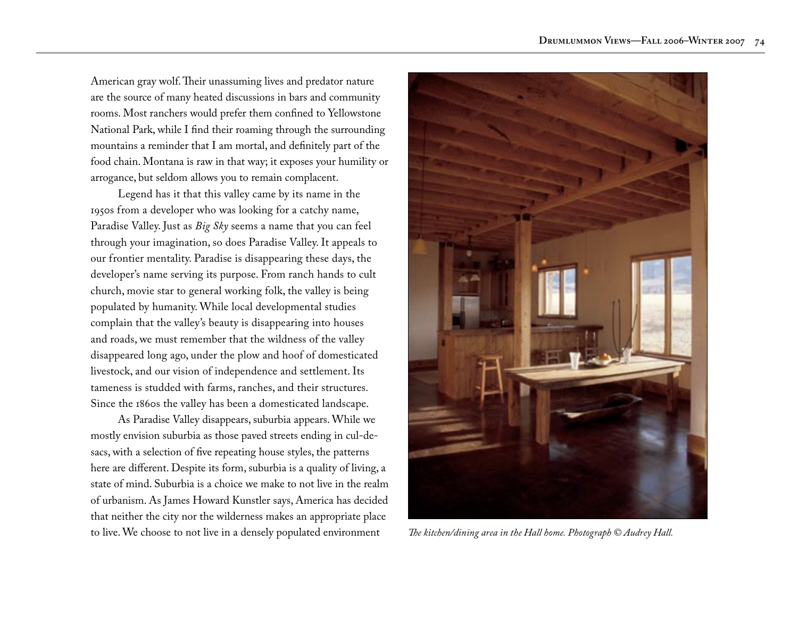American gray wolf. Their unassuming lives and predator nature are the source of many heated discussions in bars and community rooms. Most ranchers would prefer them confined to Yellowstone National Park, while I find their roaming through the surrounding mountains a reminder that I am mortal, and definitely part of the food chain. Montana is raw in that way; it exposes your humility or arrogance, but seldom allows you to remain complacent.

Legend has it that this valley came by its name in the 1950s from a developer who was looking for a catchy name, Paradise Valley. Just as *Big Sky* seems a name that you can feel through your imagination, so does Paradise Valley. It appeals to our frontier mentality. Paradise is disappearing these days, the developer's name serving its purpose. From ranch hands to cult church, movie star to general working folk, the valley is being populated by humanity. While local developmental studies complain that the valley's beauty is disappearing into houses and roads, we must remember that the wildness of the valley disappeared long ago, under the plow and hoof of domesticated livestock, and our vision of independence and settlement. Its tameness is studded with farms, ranches, and their structures. Since the 1860s the valley has been a domesticated landscape.

As Paradise Valley disappears, suburbia appears. While we mostly envision suburbia as those paved streets ending in cul-desacs, with a selection of five repeating house styles, the patterns here are different. Despite its form, suburbia is a quality of living, a state of mind. Suburbia is a choice we make to not live in the realm of urbanism. As James Howard Kunstler says, America has decided that neither the city nor the wilderness makes an appropriate place to live. We choose to not live in a densely populated environment *The kitchen/dining area in the Hall home. Photograph © Audrey Hall.*

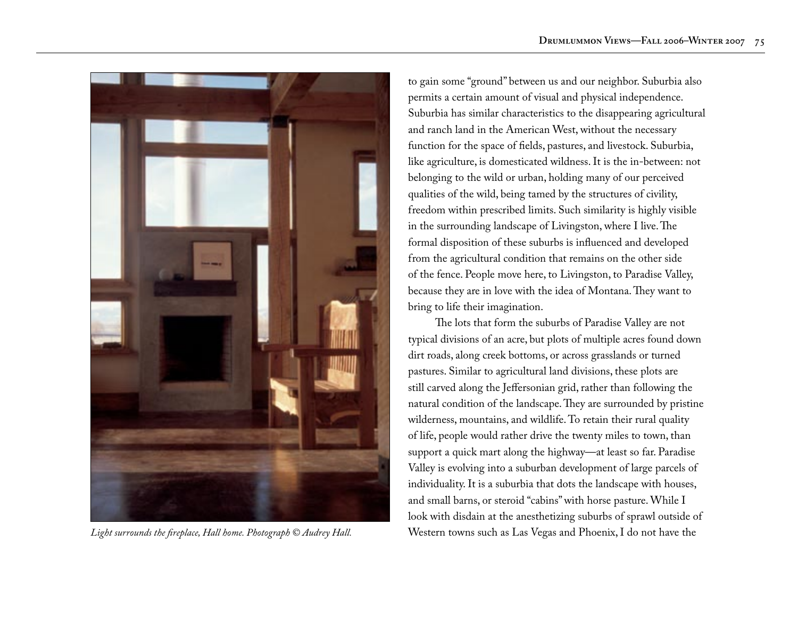

to gain some "ground" between us and our neighbor. Suburbia also permits a certain amount of visual and physical independence. Suburbia has similar characteristics to the disappearing agricultural and ranch land in the American West, without the necessary function for the space of fields, pastures, and livestock. Suburbia, like agriculture, is domesticated wildness. It is the in-between: not belonging to the wild or urban, holding many of our perceived qualities of the wild, being tamed by the structures of civility, freedom within prescribed limits. Such similarity is highly visible in the surrounding landscape of Livingston, where I live. The formal disposition of these suburbs is influenced and developed from the agricultural condition that remains on the other side of the fence. People move here, to Livingston, to Paradise Valley, because they are in love with the idea of Montana. They want to bring to life their imagination.

The lots that form the suburbs of Paradise Valley are not typical divisions of an acre, but plots of multiple acres found down dirt roads, along creek bottoms, or across grasslands or turned pastures. Similar to agricultural land divisions, these plots are still carved along the Jeffersonian grid, rather than following the natural condition of the landscape. They are surrounded by pristine wilderness, mountains, and wildlife. To retain their rural quality of life, people would rather drive the twenty miles to town, than support a quick mart along the highway—at least so far. Paradise Valley is evolving into a suburban development of large parcels of individuality. It is a suburbia that dots the landscape with houses, and small barns, or steroid "cabins" with horse pasture. While I look with disdain at the anesthetizing suburbs of sprawl outside of *Light surrounds the fireplace, Hall home. Photograph © Audrey Hall.* Western towns such as Las Vegas and Phoenix, I do not have the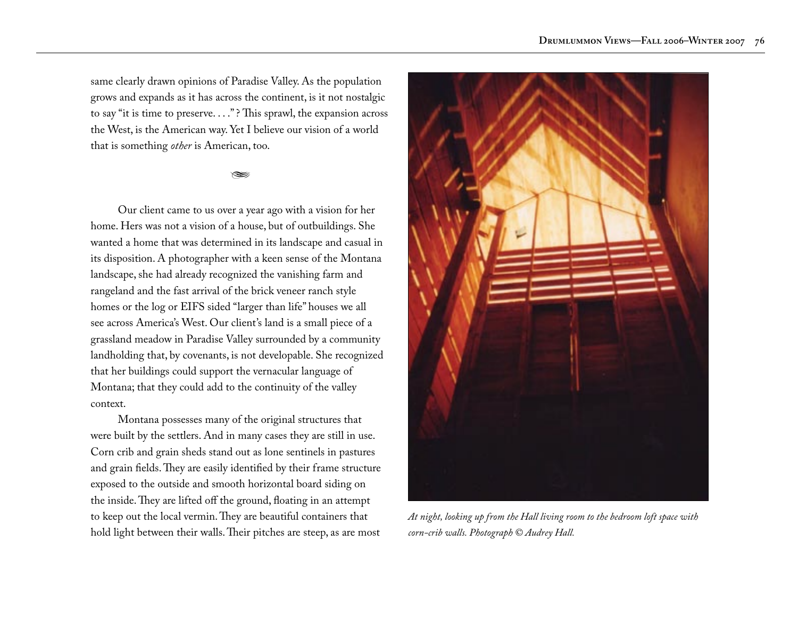same clearly drawn opinions of Paradise Valley. As the population grows and expands as it has across the continent, is it not nostalgic to say "it is time to preserve. . . ." ? This sprawl, the expansion across the West, is the American way. Yet I believe our vision of a world that is something *other* is American, too.

## $\approx$

Our client came to us over a year ago with a vision for her home. Hers was not a vision of a house, but of outbuildings. She wanted a home that was determined in its landscape and casual in its disposition. A photographer with a keen sense of the Montana landscape, she had already recognized the vanishing farm and rangeland and the fast arrival of the brick veneer ranch style homes or the log or EIFS sided "larger than life" houses we all see across America's West. Our client's land is a small piece of a grassland meadow in Paradise Valley surrounded by a community landholding that, by covenants, is not developable. She recognized that her buildings could support the vernacular language of Montana; that they could add to the continuity of the valley context.

Montana possesses many of the original structures that were built by the settlers. And in many cases they are still in use. Corn crib and grain sheds stand out as lone sentinels in pastures and grain fields. They are easily identified by their frame structure exposed to the outside and smooth horizontal board siding on the inside. They are lifted off the ground, floating in an attempt to keep out the local vermin. They are beautiful containers that hold light between their walls. Their pitches are steep, as are most



*At night, looking up from the Hall living room to the bedroom loft space with corn-crib walls. Photograph © Audrey Hall.*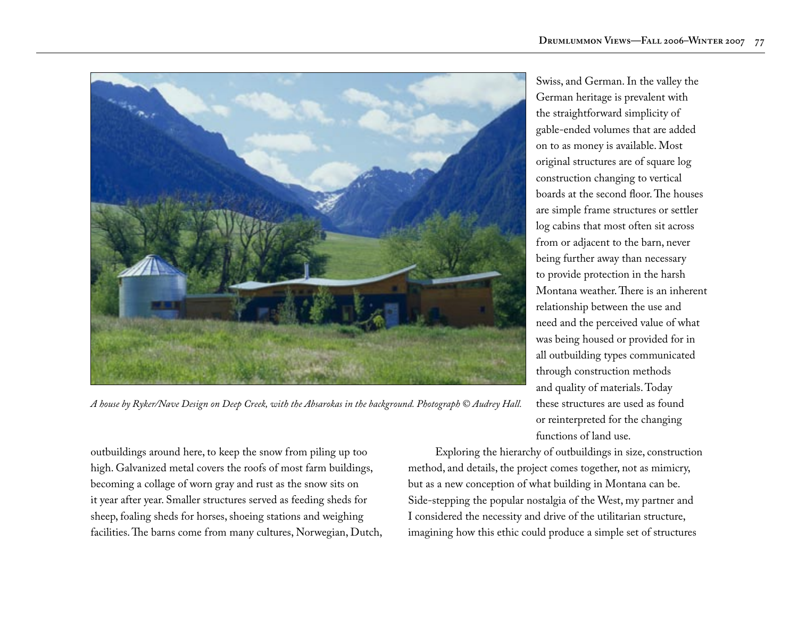

*A house by Ryker/Nave Design on Deep Creek, with the Absarokas in the background. Photograph © Audrey Hall.*

outbuildings around here, to keep the snow from piling up too high. Galvanized metal covers the roofs of most farm buildings, becoming a collage of worn gray and rust as the snow sits on it year after year. Smaller structures served as feeding sheds for sheep, foaling sheds for horses, shoeing stations and weighing facilities. The barns come from many cultures, Norwegian, Dutch,

Swiss, and German. In the valley the German heritage is prevalent with the straightforward simplicity of gable-ended volumes that are added on to as money is available. Most original structures are of square log construction changing to vertical boards at the second floor. The houses are simple frame structures or settler log cabins that most often sit across from or adjacent to the barn, never being further away than necessary to provide protection in the harsh Montana weather. There is an inherent relationship between the use and need and the perceived value of what was being housed or provided for in all outbuilding types communicated through construction methods and quality of materials. Today these structures are used as found or reinterpreted for the changing functions of land use.

Exploring the hierarchy of outbuildings in size, construction method, and details, the project comes together, not as mimicry, but as a new conception of what building in Montana can be. Side-stepping the popular nostalgia of the West, my partner and I considered the necessity and drive of the utilitarian structure, imagining how this ethic could produce a simple set of structures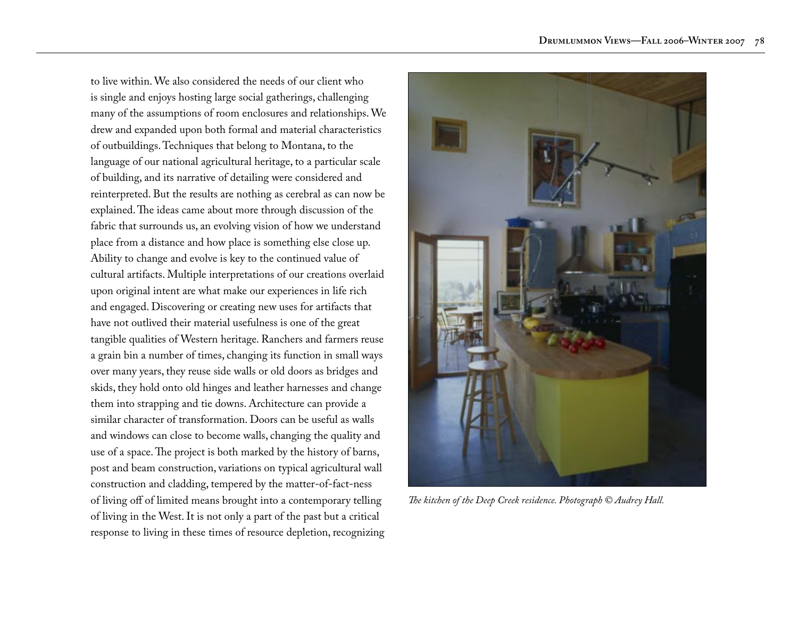to live within. We also considered the needs of our client who is single and enjoys hosting large social gatherings, challenging many of the assumptions of room enclosures and relationships. We drew and expanded upon both formal and material characteristics of outbuildings. Techniques that belong to Montana, to the language of our national agricultural heritage, to a particular scale of building, and its narrative of detailing were considered and reinterpreted. But the results are nothing as cerebral as can now be explained. The ideas came about more through discussion of the fabric that surrounds us, an evolving vision of how we understand place from a distance and how place is something else close up. Ability to change and evolve is key to the continued value of cultural artifacts. Multiple interpretations of our creations overlaid upon original intent are what make our experiences in life rich and engaged. Discovering or creating new uses for artifacts that have not outlived their material usefulness is one of the great tangible qualities of Western heritage. Ranchers and farmers reuse a grain bin a number of times, changing its function in small ways over many years, they reuse side walls or old doors as bridges and skids, they hold onto old hinges and leather harnesses and change them into strapping and tie downs. Architecture can provide a similar character of transformation. Doors can be useful as walls and windows can close to become walls, changing the quality and use of a space. The project is both marked by the history of barns, post and beam construction, variations on typical agricultural wall construction and cladding, tempered by the matter-of-fact-ness of living off of limited means brought into a contemporary telling of living in the West. It is not only a part of the past but a critical response to living in these times of resource depletion, recognizing



*The kitchen of the Deep Creek residence. Photograph © Audrey Hall.*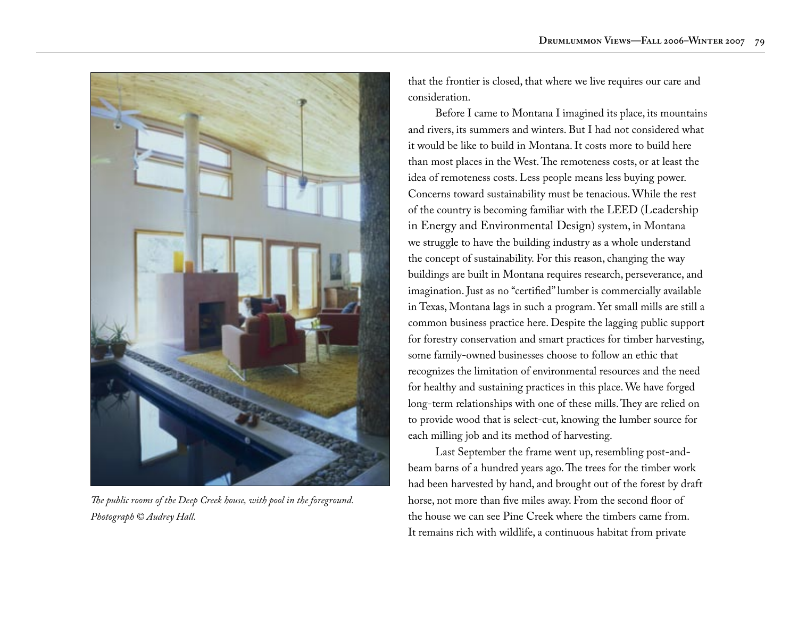

*The public rooms of the Deep Creek house, with pool in the foreground. Photograph © Audrey Hall.*

that the frontier is closed, that where we live requires our care and consideration.

Before I came to Montana I imagined its place, its mountains and rivers, its summers and winters. But I had not considered what it would be like to build in Montana. It costs more to build here than most places in the West. The remoteness costs, or at least the idea of remoteness costs. Less people means less buying power. Concerns toward sustainability must be tenacious. While the rest of the country is becoming familiar with the LEED (Leadership in Energy and Environmental Design) system, in Montana we struggle to have the building industry as a whole understand the concept of sustainability. For this reason, changing the way buildings are built in Montana requires research, perseverance, and imagination. Just as no "certified" lumber is commercially available in Texas, Montana lags in such a program. Yet small mills are still a common business practice here. Despite the lagging public support for forestry conservation and smart practices for timber harvesting, some family-owned businesses choose to follow an ethic that recognizes the limitation of environmental resources and the need for healthy and sustaining practices in this place. We have forged long-term relationships with one of these mills. They are relied on to provide wood that is select-cut, knowing the lumber source for each milling job and its method of harvesting.

Last September the frame went up, resembling post-andbeam barns of a hundred years ago. The trees for the timber work had been harvested by hand, and brought out of the forest by draft horse, not more than five miles away. From the second floor of the house we can see Pine Creek where the timbers came from. It remains rich with wildlife, a continuous habitat from private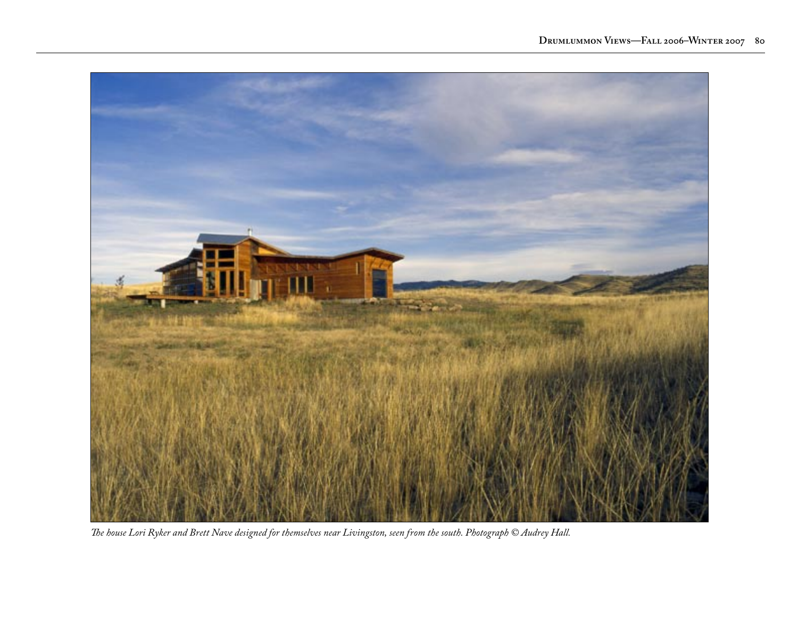

*The house Lori Ryker and Brett Nave designed for themselves near Livingston, seen from the south. Photograph © Audrey Hall.*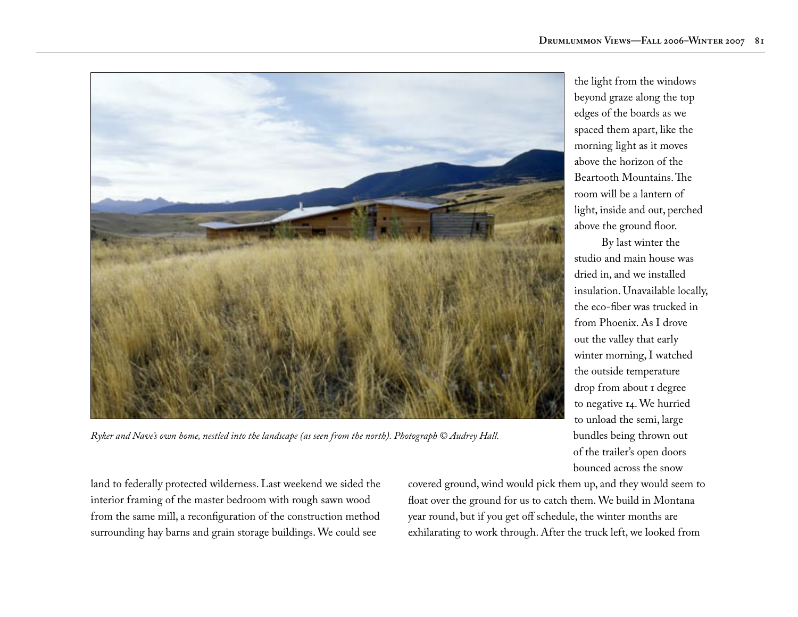

beyond graze along the top edges of the boards as we spaced them apart, like the morning light as it moves above the horizon of the Beartooth Mountains. The room will be a lantern of light, inside and out, perched above the ground floor.

the light from the windows

By last winter the studio and main house was dried in, and we installed insulation. Unavailable locally, the eco-fiber was trucked in from Phoenix. As I drove out the valley that early winter morning, I watched the outside temperature drop from about I degree to negative 14. We hurried to unload the semi, large bundles being thrown out of the trailer's open doors bounced across the snow

*Ryker and Nave's own home, nestled into the landscape (as seen from the north). Photograph © Audrey Hall.*

land to federally protected wilderness. Last weekend we sided the interior framing of the master bedroom with rough sawn wood from the same mill, a reconfiguration of the construction method surrounding hay barns and grain storage buildings. We could see

covered ground, wind would pick them up, and they would seem to float over the ground for us to catch them. We build in Montana year round, but if you get off schedule, the winter months are exhilarating to work through. After the truck left, we looked from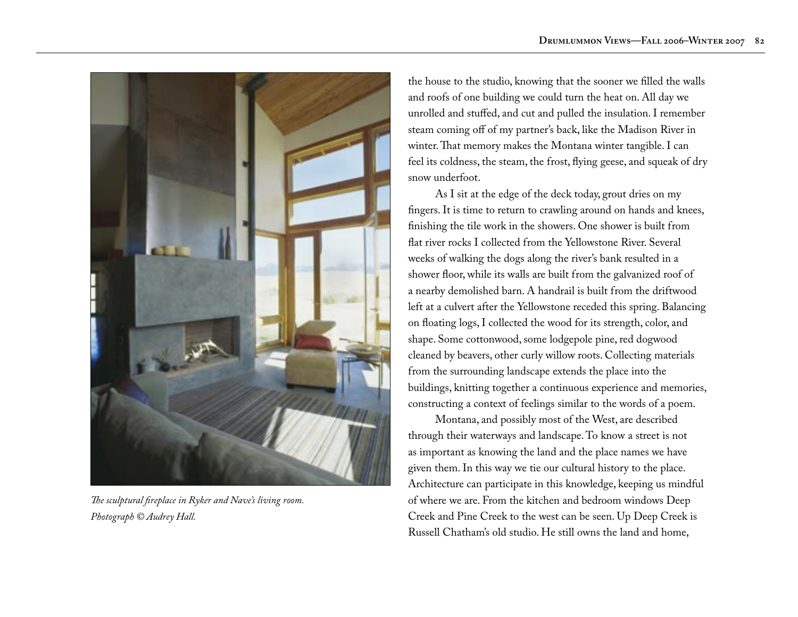

*The sculptural fireplace in Ryker and Nave's living room. Photograph © Audrey Hall.*

the house to the studio, knowing that the sooner we filled the walls and roofs of one building we could turn the heat on. All day we unrolled and stuffed, and cut and pulled the insulation. I remember steam coming off of my partner's back, like the Madison River in winter. That memory makes the Montana winter tangible. I can feel its coldness, the steam, the frost, flying geese, and squeak of dry snow underfoot.

As I sit at the edge of the deck today, grout dries on my fingers. It is time to return to crawling around on hands and knees, finishing the tile work in the showers. One shower is built from flat river rocks I collected from the Yellowstone River. Several weeks of walking the dogs along the river's bank resulted in a shower floor, while its walls are built from the galvanized roof of a nearby demolished barn. A handrail is built from the driftwood left at a culvert after the Yellowstone receded this spring. Balancing on floating logs, I collected the wood for its strength, color, and shape. Some cottonwood, some lodgepole pine, red dogwood cleaned by beavers, other curly willow roots. Collecting materials from the surrounding landscape extends the place into the buildings, knitting together a continuous experience and memories, constructing a context of feelings similar to the words of a poem.

Montana, and possibly most of the West, are described through their waterways and landscape. To know a street is not as important as knowing the land and the place names we have given them. In this way we tie our cultural history to the place. Architecture can participate in this knowledge, keeping us mindful of where we are. From the kitchen and bedroom windows Deep Creek and Pine Creek to the west can be seen. Up Deep Creek is Russell Chatham's old studio. He still owns the land and home,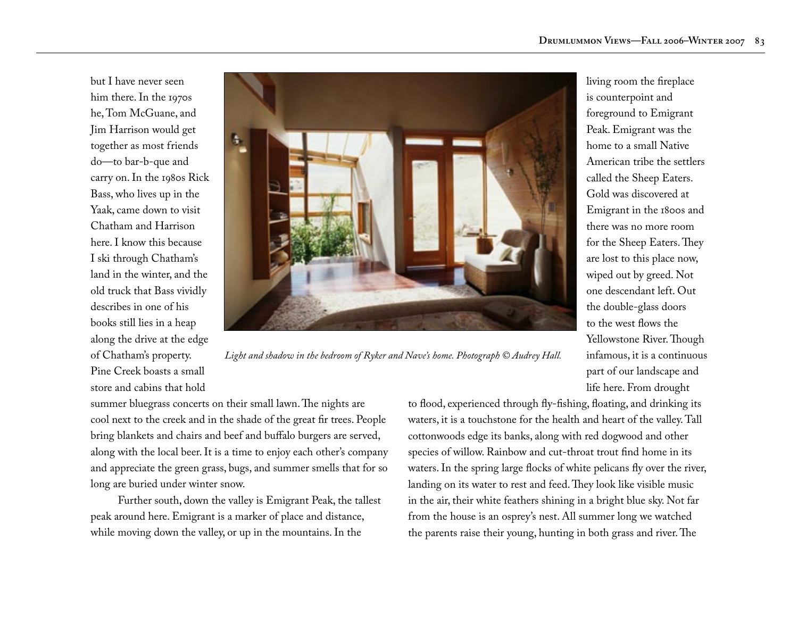but I have never seen him there. In the 1970s he, Tom McGuane, and Jim Harrison would get together as most friends do—to bar-b-que and carry on. In the 1980s Rick Bass, who lives up in the Yaak, came down to visit Chatham and Harrison here. I know this because I ski through Chatham's land in the winter, and the old truck that Bass vividly describes in one of his books still lies in a heap along the drive at the edge of Chatham's property. Pine Creek boasts a small store and cabins that hold



*Light and shadow in the bedroom of Ryker and Nave's home. Photograph © Audrey Hall.*

summer bluegrass concerts on their small lawn. The nights are cool next to the creek and in the shade of the great fir trees. People bring blankets and chairs and beef and buffalo burgers are served, along with the local beer. It is a time to enjoy each other's company and appreciate the green grass, bugs, and summer smells that for so long are buried under winter snow.

Further south, down the valley is Emigrant Peak, the tallest peak around here. Emigrant is a marker of place and distance, while moving down the valley, or up in the mountains. In the

to flood, experienced through fly-fishing, floating, and drinking its waters, it is a touchstone for the health and heart of the valley. Tall cottonwoods edge its banks, along with red dogwood and other species of willow. Rainbow and cut-throat trout find home in its waters. In the spring large flocks of white pelicans fly over the river, landing on its water to rest and feed. They look like visible music in the air, their white feathers shining in a bright blue sky. Not far from the house is an osprey's nest. All summer long we watched the parents raise their young, hunting in both grass and river. The

living room the fireplace is counterpoint and foreground to Emigrant Peak. Emigrant was the home to a small Native American tribe the settlers called the Sheep Eaters. Gold was discovered at Emigrant in the 1800s and there was no more room for the Sheep Eaters. They are lost to this place now, wiped out by greed. Not one descendant left. Out the double-glass doors to the west flows the Yellowstone River. Though infamous, it is a continuous part of our landscape and life here. From drought